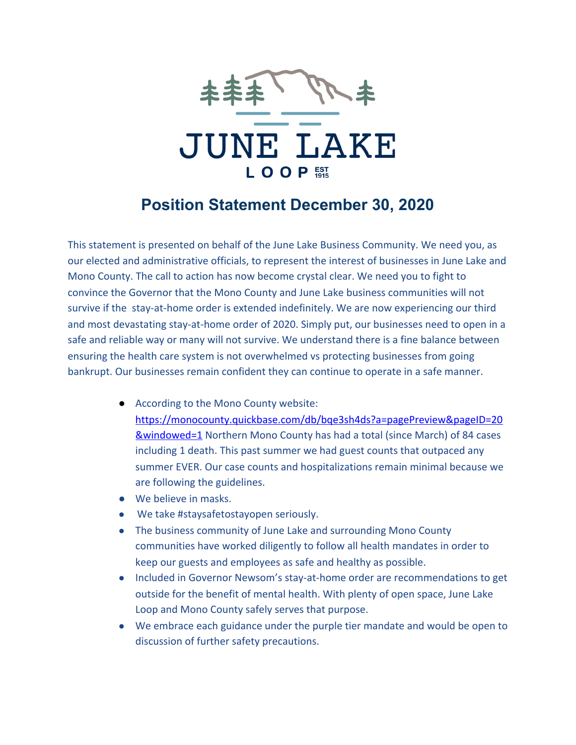

## **Position Statement December 30, 2020**

This statement is presented on behalf of the June Lake Business Community. We need you, as our elected and administrative officials, to represent the interest of businesses in June Lake and Mono County. The call to action has now become crystal clear. We need you to fight to convince the Governor that the Mono County and June Lake business communities will not survive if the stay-at-home order is extended indefinitely. We are now experiencing our third and most devastating stay-at-home order of 2020. Simply put, our businesses need to open in a safe and reliable way or many will not survive. We understand there is a fine balance between ensuring the health care system is not overwhelmed vs protecting businesses from going bankrupt. Our businesses remain confident they can continue to operate in a safe manner.

- According to the Mono County website: [https://monocounty.quickbase.com/db/bqe3sh4ds?a=pagePreview&pageID=20](https://monocounty.quickbase.com/db/bqe3sh4ds?a=pagePreview&pageID=20&windowed=1) [&windowed=1](https://monocounty.quickbase.com/db/bqe3sh4ds?a=pagePreview&pageID=20&windowed=1) Northern Mono County has had a total (since March) of 84 cases including 1 death. This past summer we had guest counts that outpaced any summer EVER. Our case counts and hospitalizations remain minimal because we are following the guidelines.
- We believe in masks.
- We take #staysafetostayopen seriously.
- The business community of June Lake and surrounding Mono County communities have worked diligently to follow all health mandates in order to keep our guests and employees as safe and healthy as possible.
- Included in Governor Newsom's stay-at-home order are recommendations to get outside for the benefit of mental health. With plenty of open space, June Lake Loop and Mono County safely serves that purpose.
- We embrace each guidance under the purple tier mandate and would be open to discussion of further safety precautions.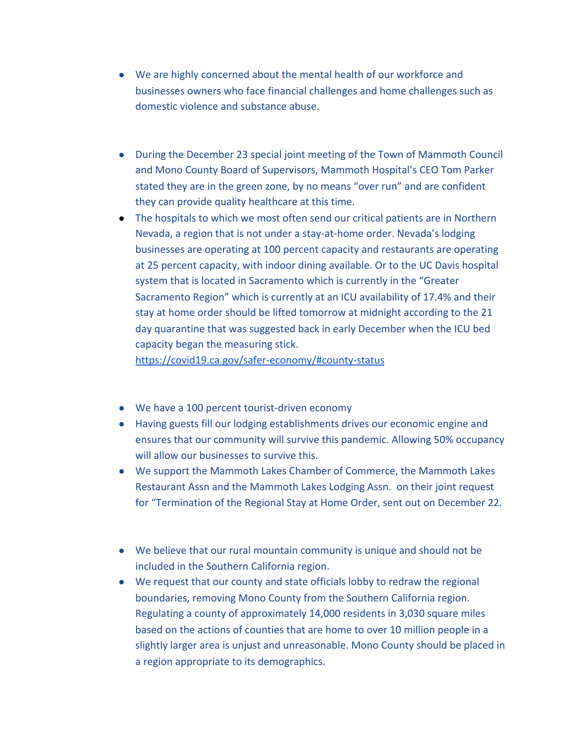- We are highly concerned about the mental health of our workforce and businesses owners who face financial challenges and home challenges such as domestic violence and substance abuse.
- During the December 23 special joint meeting of the Town of Mammoth Council and Mono County Board of Supervisors, Mammoth Hospital's CEO Tom Parker stated they are in the green zone, by no means "over run" and are confident they can provide quality healthcare at this time.
- The hospitals to which we most often send our critical patients are in Northern Nevada, a region that is not under a stay-at-home order. Nevada's lodging businesses are operating at 100 percent capacity and restaurants are operating at 25 percent capacity, with indoor dining available. Or to the UC Davis hospital system that is located in Sacramento which is currently in the "Greater Sacramento Region" which is currently at an ICU availability of 17.4% and their stay at home order should be lifted tomorrow at midnight according to the 21 day quarantine that was suggested back in early December when the ICU bed capacity began the measuring stick.

<https://covid19.ca.gov/safer-economy/#county-status>

- We have a 100 percent tourist-driven economy
- Having guests fill our lodging establishments drives our economic engine and ensures that our community will survive this pandemic. Allowing 50% occupancy will allow our businesses to survive this.
- We support the Mammoth Lakes Chamber of Commerce, the Mammoth Lakes Restaurant Assn and the Mammoth Lakes Lodging Assn. on their joint request for "Termination of the Regional Stay at Home Order, sent out on December 22.
- We believe that our rural mountain community is unique and should not be included in the Southern California region.
- We request that our county and state officials lobby to redraw the regional boundaries, removing Mono County from the Southern California region. Regulating a county of approximately 14,000 residents in 3,030 square miles based on the actions of counties that are home to over 10 million people in a slightly larger area is unjust and unreasonable. Mono County should be placed in a region appropriate to its demographics.